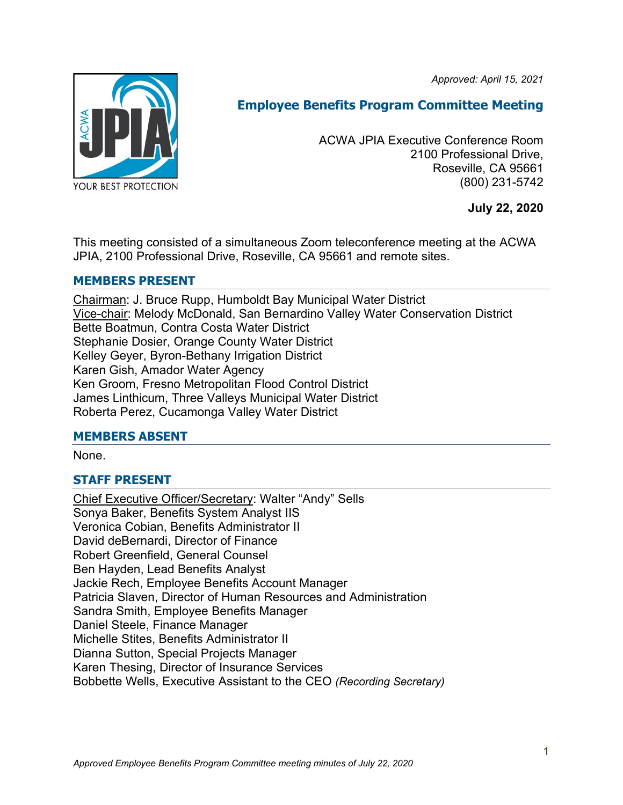*Approved: April 15, 2021*



# **Employee Benefits Program Committee Meeting**

ACWA JPIA Executive Conference Room 2100 Professional Drive, Roseville, CA 95661 (800) 231-5742

**July 22, 2020**

This meeting consisted of a simultaneous Zoom teleconference meeting at the ACWA JPIA, 2100 Professional Drive, Roseville, CA 95661 and remote sites.

### **MEMBERS PRESENT**

Chairman: J. Bruce Rupp, Humboldt Bay Municipal Water District Vice-chair: Melody McDonald, San Bernardino Valley Water Conservation District Bette Boatmun, Contra Costa Water District Stephanie Dosier, Orange County Water District Kelley Geyer, Byron-Bethany Irrigation District Karen Gish, Amador Water Agency Ken Groom, Fresno Metropolitan Flood Control District James Linthicum, Three Valleys Municipal Water District Roberta Perez, Cucamonga Valley Water District

### **MEMBERS ABSENT**

None.

# **STAFF PRESENT**

Chief Executive Officer/Secretary: Walter "Andy" Sells Sonya Baker, Benefits System Analyst IIS Veronica Cobian, Benefits Administrator II David deBernardi, Director of Finance Robert Greenfield, General Counsel Ben Hayden, Lead Benefits Analyst Jackie Rech, Employee Benefits Account Manager Patricia Slaven, Director of Human Resources and Administration Sandra Smith, Employee Benefits Manager Daniel Steele, Finance Manager Michelle Stites, Benefits Administrator II Dianna Sutton, Special Projects Manager Karen Thesing, Director of Insurance Services Bobbette Wells, Executive Assistant to the CEO *(Recording Secretary)*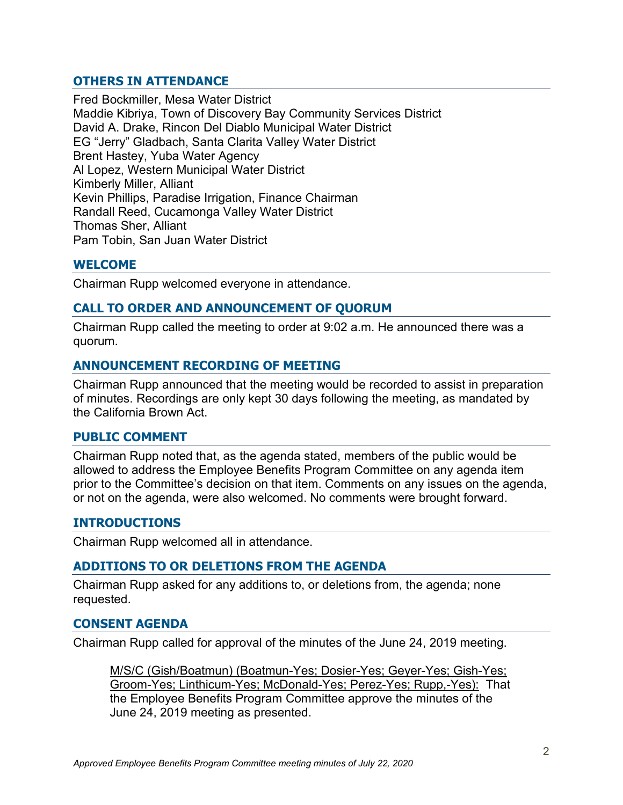### **OTHERS IN ATTENDANCE**

Fred Bockmiller, Mesa Water District Maddie Kibriya, Town of Discovery Bay Community Services District David A. Drake, Rincon Del Diablo Municipal Water District EG "Jerry" Gladbach, Santa Clarita Valley Water District Brent Hastey, Yuba Water Agency Al Lopez, Western Municipal Water District Kimberly Miller, Alliant Kevin Phillips, Paradise Irrigation, Finance Chairman Randall Reed, Cucamonga Valley Water District Thomas Sher, Alliant Pam Tobin, San Juan Water District

### **WELCOME**

Chairman Rupp welcomed everyone in attendance.

### **CALL TO ORDER AND ANNOUNCEMENT OF QUORUM**

Chairman Rupp called the meeting to order at 9:02 a.m. He announced there was a quorum.

### **ANNOUNCEMENT RECORDING OF MEETING**

Chairman Rupp announced that the meeting would be recorded to assist in preparation of minutes. Recordings are only kept 30 days following the meeting, as mandated by the California Brown Act.

### **PUBLIC COMMENT**

Chairman Rupp noted that, as the agenda stated, members of the public would be allowed to address the Employee Benefits Program Committee on any agenda item prior to the Committee's decision on that item. Comments on any issues on the agenda, or not on the agenda, were also welcomed. No comments were brought forward.

### **INTRODUCTIONS**

Chairman Rupp welcomed all in attendance.

### **ADDITIONS TO OR DELETIONS FROM THE AGENDA**

Chairman Rupp asked for any additions to, or deletions from, the agenda; none requested.

### **CONSENT AGENDA**

Chairman Rupp called for approval of the minutes of the June 24, 2019 meeting.

M/S/C (Gish/Boatmun) (Boatmun-Yes; Dosier-Yes; Geyer-Yes; Gish-Yes; Groom-Yes; Linthicum-Yes; McDonald-Yes; Perez-Yes; Rupp,-Yes): That the Employee Benefits Program Committee approve the minutes of the June 24, 2019 meeting as presented.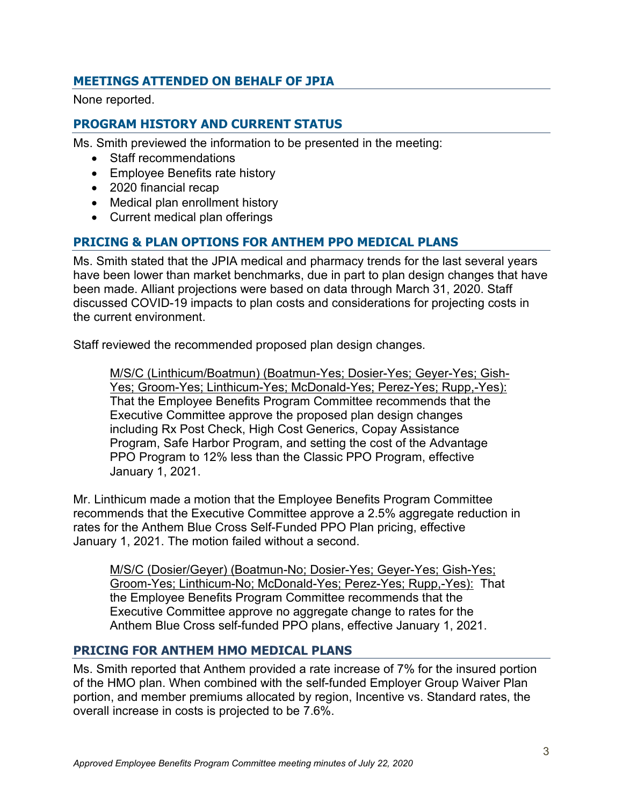# **MEETINGS ATTENDED ON BEHALF OF JPIA**

None reported.

# **PROGRAM HISTORY AND CURRENT STATUS**

Ms. Smith previewed the information to be presented in the meeting:

- Staff recommendations
- Employee Benefits rate history
- 2020 financial recap
- Medical plan enrollment history
- Current medical plan offerings

# **PRICING & PLAN OPTIONS FOR ANTHEM PPO MEDICAL PLANS**

Ms. Smith stated that the JPIA medical and pharmacy trends for the last several years have been lower than market benchmarks, due in part to plan design changes that have been made. Alliant projections were based on data through March 31, 2020. Staff discussed COVID-19 impacts to plan costs and considerations for projecting costs in the current environment.

Staff reviewed the recommended proposed plan design changes.

M/S/C (Linthicum/Boatmun) (Boatmun-Yes; Dosier-Yes; Geyer-Yes; Gish-Yes; Groom-Yes; Linthicum-Yes; McDonald-Yes; Perez-Yes; Rupp,-Yes): That the Employee Benefits Program Committee recommends that the Executive Committee approve the proposed plan design changes including Rx Post Check, High Cost Generics, Copay Assistance Program, Safe Harbor Program, and setting the cost of the Advantage PPO Program to 12% less than the Classic PPO Program, effective January 1, 2021.

Mr. Linthicum made a motion that the Employee Benefits Program Committee recommends that the Executive Committee approve a 2.5% aggregate reduction in rates for the Anthem Blue Cross Self-Funded PPO Plan pricing, effective January 1, 2021. The motion failed without a second.

M/S/C (Dosier/Geyer) (Boatmun-No; Dosier-Yes; Geyer-Yes; Gish-Yes; Groom-Yes; Linthicum-No; McDonald-Yes; Perez-Yes; Rupp,-Yes): That the Employee Benefits Program Committee recommends that the Executive Committee approve no aggregate change to rates for the Anthem Blue Cross self-funded PPO plans, effective January 1, 2021.

### **PRICING FOR ANTHEM HMO MEDICAL PLANS**

Ms. Smith reported that Anthem provided a rate increase of 7% for the insured portion of the HMO plan. When combined with the self-funded Employer Group Waiver Plan portion, and member premiums allocated by region, Incentive vs. Standard rates, the overall increase in costs is projected to be 7.6%.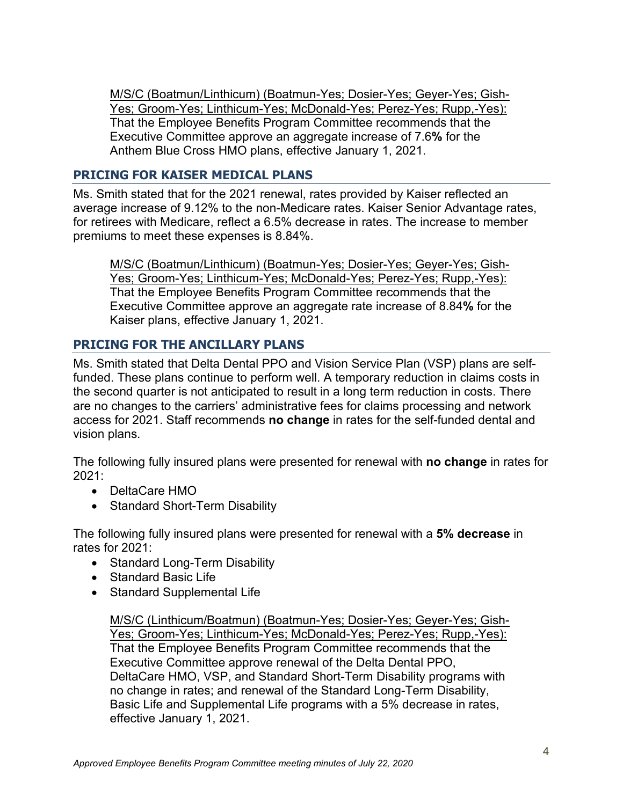M/S/C (Boatmun/Linthicum) (Boatmun-Yes; Dosier-Yes; Geyer-Yes; Gish-Yes; Groom-Yes; Linthicum-Yes; McDonald-Yes; Perez-Yes; Rupp,-Yes): That the Employee Benefits Program Committee recommends that the Executive Committee approve an aggregate increase of 7.6**%** for the Anthem Blue Cross HMO plans, effective January 1, 2021.

### **PRICING FOR KAISER MEDICAL PLANS**

Ms. Smith stated that for the 2021 renewal, rates provided by Kaiser reflected an average increase of 9.12% to the non-Medicare rates. Kaiser Senior Advantage rates, for retirees with Medicare, reflect a 6.5% decrease in rates. The increase to member premiums to meet these expenses is 8.84%.

M/S/C (Boatmun/Linthicum) (Boatmun-Yes; Dosier-Yes; Geyer-Yes; Gish-Yes; Groom-Yes; Linthicum-Yes; McDonald-Yes; Perez-Yes; Rupp,-Yes): That the Employee Benefits Program Committee recommends that the Executive Committee approve an aggregate rate increase of 8.84**%** for the Kaiser plans, effective January 1, 2021.

# **PRICING FOR THE ANCILLARY PLANS**

Ms. Smith stated that Delta Dental PPO and Vision Service Plan (VSP) plans are selffunded. These plans continue to perform well. A temporary reduction in claims costs in the second quarter is not anticipated to result in a long term reduction in costs. There are no changes to the carriers' administrative fees for claims processing and network access for 2021. Staff recommends **no change** in rates for the self-funded dental and vision plans.

The following fully insured plans were presented for renewal with **no change** in rates for 2021:

- DeltaCare HMO
- Standard Short-Term Disability

The following fully insured plans were presented for renewal with a **5% decrease** in rates for 2021:

- Standard Long-Term Disability
- Standard Basic Life
- Standard Supplemental Life

M/S/C (Linthicum/Boatmun) (Boatmun-Yes; Dosier-Yes; Geyer-Yes; Gish-Yes; Groom-Yes; Linthicum-Yes; McDonald-Yes; Perez-Yes; Rupp,-Yes): That the Employee Benefits Program Committee recommends that the Executive Committee approve renewal of the Delta Dental PPO, DeltaCare HMO, VSP, and Standard Short-Term Disability programs with no change in rates; and renewal of the Standard Long-Term Disability, Basic Life and Supplemental Life programs with a 5% decrease in rates, effective January 1, 2021.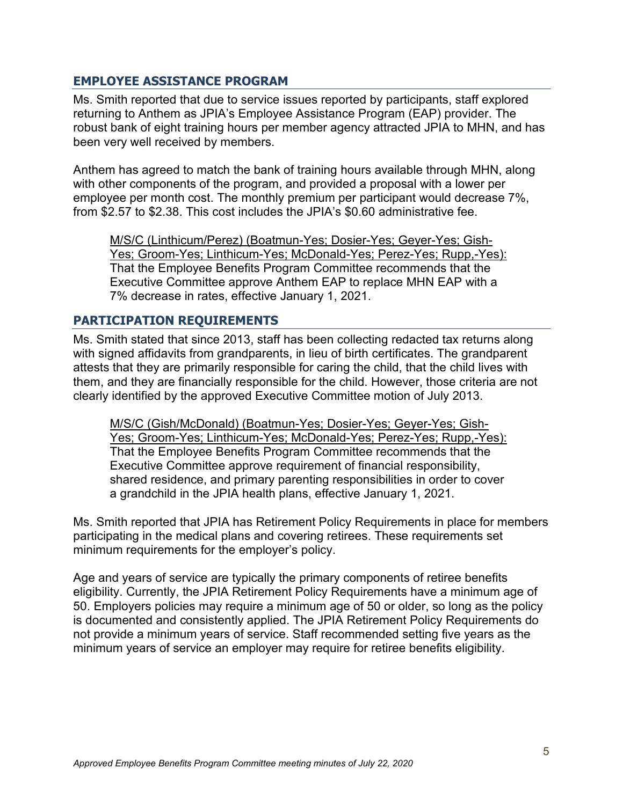### **EMPLOYEE ASSISTANCE PROGRAM**

Ms. Smith reported that due to service issues reported by participants, staff explored returning to Anthem as JPIA's Employee Assistance Program (EAP) provider. The robust bank of eight training hours per member agency attracted JPIA to MHN, and has been very well received by members.

Anthem has agreed to match the bank of training hours available through MHN, along with other components of the program, and provided a proposal with a lower per employee per month cost. The monthly premium per participant would decrease 7%, from \$2.57 to \$2.38. This cost includes the JPIA's \$0.60 administrative fee.

M/S/C (Linthicum/Perez) (Boatmun-Yes; Dosier-Yes; Geyer-Yes; Gish-Yes; Groom-Yes; Linthicum-Yes; McDonald-Yes; Perez-Yes; Rupp,-Yes): That the Employee Benefits Program Committee recommends that the Executive Committee approve Anthem EAP to replace MHN EAP with a 7% decrease in rates, effective January 1, 2021.

### **PARTICIPATION REQUIREMENTS**

Ms. Smith stated that since 2013, staff has been collecting redacted tax returns along with signed affidavits from grandparents, in lieu of birth certificates. The grandparent attests that they are primarily responsible for caring the child, that the child lives with them, and they are financially responsible for the child. However, those criteria are not clearly identified by the approved Executive Committee motion of July 2013.

M/S/C (Gish/McDonald) (Boatmun-Yes; Dosier-Yes; Geyer-Yes; Gish-Yes; Groom-Yes; Linthicum-Yes; McDonald-Yes; Perez-Yes; Rupp,-Yes): That the Employee Benefits Program Committee recommends that the Executive Committee approve requirement of financial responsibility, shared residence, and primary parenting responsibilities in order to cover a grandchild in the JPIA health plans, effective January 1, 2021.

Ms. Smith reported that JPIA has Retirement Policy Requirements in place for members participating in the medical plans and covering retirees. These requirements set minimum requirements for the employer's policy.

Age and years of service are typically the primary components of retiree benefits eligibility. Currently, the JPIA Retirement Policy Requirements have a minimum age of 50. Employers policies may require a minimum age of 50 or older, so long as the policy is documented and consistently applied. The JPIA Retirement Policy Requirements do not provide a minimum years of service. Staff recommended setting five years as the minimum years of service an employer may require for retiree benefits eligibility.